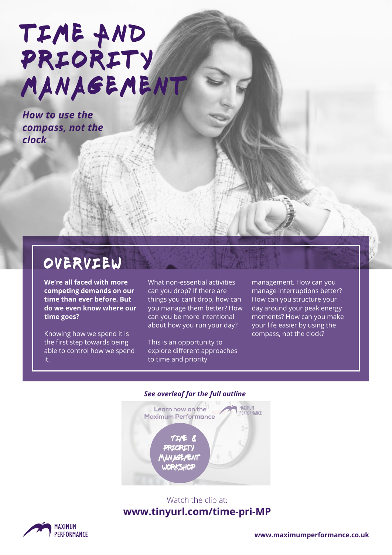# TIME AND PRIORITY MANAGEMENT

*How to use the compass, not the clock*

### overview

**We're all faced with more competing demands on our time than ever before. But do we even know where our time goes?** 

Knowing how we spend it is the first step towards being able to control how we spend it.

What non-essential activities can you drop? If there are things you can't drop, how can you manage them better? How can you be more intentional about how you run your day?

This is an opportunity to explore different approaches to time and priority

management. How can you manage interruptions better? How can you structure your day around your peak energy moments? How can you make your life easier by using the compass, not the clock?

#### *See overleaf for the full outline*



#### Watch the clip at: **[www.tinyurl.com/time-pri-MP](http://www.tinyurl.com/time-pri-MP)**